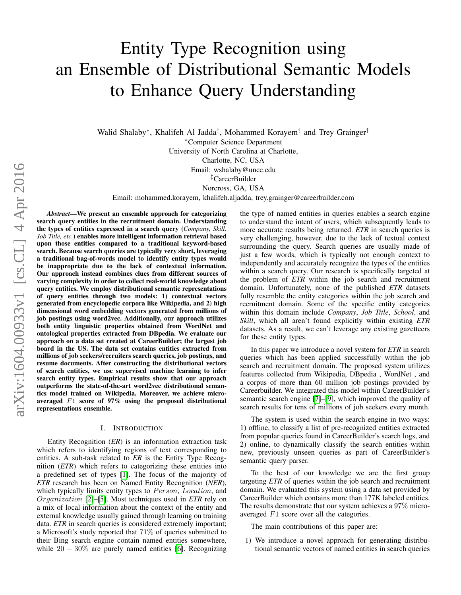# Entity Type Recognition using an Ensemble of Distributional Semantic Models to Enhance Query Understanding

Walid Shalaby\*, Khalifeh Al Jadda<sup>‡</sup>, Mohammed Korayem<sup>‡</sup> and Trey Grainger<sup>‡</sup> <sup>∗</sup>Computer Science Department University of North Carolina at Charlotte, Charlotte, NC, USA Email: wshalaby@uncc.edu ‡CareerBuilder Norcross, GA, USA

Email: mohammed.korayem, khalifeh.aljadda, trey.grainger@careerbuilder.com

*Abstract*—We present an ensemble approach for categorizing search query entities in the recruitment domain. Understanding the types of entities expressed in a search query (*Company, Skill, Job Title, etc.*) enables more intelligent information retrieval based upon those entities compared to a traditional keyword-based search. Because search queries are typically very short, leveraging a traditional bag-of-words model to identify entity types would be inappropriate due to the lack of contextual information. Our approach instead combines clues from different sources of varying complexity in order to collect real-world knowledge about query entities. We employ distributional semantic representations of query entities through two models: 1) contextual vectors generated from encyclopedic corpora like Wikipedia, and 2) high dimensional word embedding vectors generated from millions of job postings using word2vec. Additionally, our approach utilizes both entity linguistic properties obtained from WordNet and ontological properties extracted from DBpedia. We evaluate our approach on a data set created at CareerBuilder; the largest job board in the US. The data set contains entities extracted from millions of job seekers/recruiters search queries, job postings, and resume documents. After constructing the distributional vectors of search entities, we use supervised machine learning to infer search entity types. Empirical results show that our approach outperforms the state-of-the-art word2vec distributional semantics model trained on Wikipedia. Moreover, we achieve microaveraged F1 score of 97% using the proposed distributional representations ensemble.

#### I. INTRODUCTION

Entity Recognition (*ER*) is an information extraction task which refers to identifying regions of text corresponding to entities. A sub-task related to *ER* is the Entity Type Recognition (*ETR*) which refers to categorizing these entities into a predefined set of types [\[1\]](#page-6-0). The focus of the majority of *ETR* research has been on Named Entity Recognition (*NER*), which typically limits entity types to Person, Location, and Organization [\[2\]](#page-6-1)–[\[5\]](#page-6-2). Most techniques used in *ETR* rely on a mix of local information about the context of the entity and external knowledge usually gained through learning on training data. *ETR* in search queries is considered extremely important; a Microsoft's study reported that 71% of queries submitted to their Bing search engine contain named entities somewhere, while  $20 - 30\%$  are purely named entities [\[6\]](#page-6-3). Recognizing the type of named entities in queries enables a search engine to understand the intent of users, which subsequently leads to more accurate results being returned. *ETR* in search queries is very challenging, however, due to the lack of textual context surrounding the query. Search queries are usually made of just a few words, which is typically not enough context to independently and accurately recognize the types of the entities within a search query. Our research is specifically targeted at the problem of *ETR* within the job search and recruitment domain. Unfortunately, none of the published *ETR* datasets fully resemble the entity categories within the job search and recruitment domain. Some of the specific entity categories within this domain include *Company*, *Job Title*, *School*, and *Skill*, which all aren't found explicitly within existing *ETR* datasets. As a result, we can't leverage any existing gazetteers for these entity types.

In this paper we introduce a novel system for *ETR* in search queries which has been applied successfully within the job search and recruitment domain. The proposed system utilizes features collected from Wikipedia, DBpedia , WordNet , and a corpus of more than 60 million job postings provided by Careerbuilder. We integrated this model within CareerBuilder's semantic search engine [\[7\]](#page-6-4)–[\[9\]](#page-6-5), which improved the quality of search results for tens of millions of job seekers every month.

The system is used within the search engine in two ways: 1) offline, to classify a list of pre-recognized entities extracted from popular queries found in CareerBuilder's search logs, and 2) online, to dynamically classify the search entities within new, previously unseen queries as part of CareerBuilder's semantic query parser.

To the best of our knowledge we are the first group targeting *ETR* of queries within the job search and recruitment domain. We evaluated this system using a data set provided by CareerBuilder which contains more than 177K labeled entities. The results demonstrate that our system achieves a 97% microaveraged F1 score over all the categories.

The main contributions of this paper are:

1) We introduce a novel approach for generating distributional semantic vectors of named entities in search queries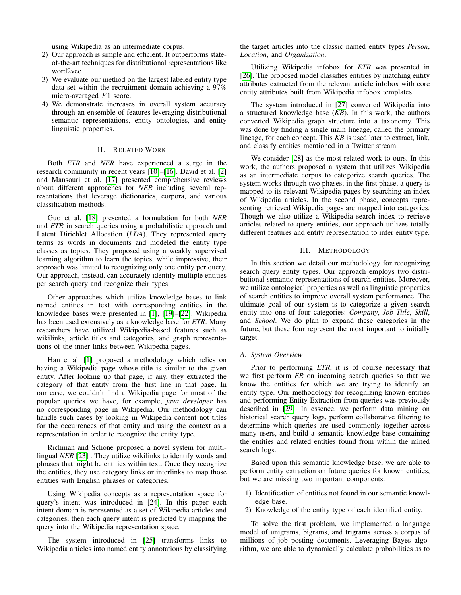using Wikipedia as an intermediate corpus.

- 2) Our approach is simple and efficient. It outperforms stateof-the-art techniques for distributional representations like word2vec.
- 3) We evaluate our method on the largest labeled entity type data set within the recruitment domain achieving a 97% micro-averaged F1 score.
- 4) We demonstrate increases in overall system accuracy through an ensemble of features leveraging distributional semantic representations, entity ontologies, and entity linguistic properties.

# II. RELATED WORK

Both *ETR* and *NER* have experienced a surge in the research community in recent years [\[10\]](#page-6-6)–[\[16\]](#page-6-7). David et al. [\[2\]](#page-6-1) and Mansouri et al. [\[17\]](#page-6-8) presented comprehensive reviews about different approaches for *NER* including several representations that leverage dictionaries, corpora, and various classification methods.

Guo et al. [\[18\]](#page-6-9) presented a formulation for both *NER* and *ETR* in search queries using a probabilistic approach and Latent Dirichlet Allocation (*LDA*). They represented query terms as words in documents and modeled the entity type classes as topics. They proposed using a weakly supervised learning algorithm to learn the topics, while impressive, their approach was limited to recognizing only one entity per query. Our approach, instead, can accurately identify multiple entities per search query and recognize their types.

Other approaches which utilize knowledge bases to link named entities in text with corresponding entities in the knowledge bases were presented in [\[1\]](#page-6-0), [\[19\]](#page-6-10)–[\[22\]](#page-6-11). Wikipedia has been used extensively as a knowledge base for *ETR*. Many researchers have utilized Wikipedia-based features such as wikilinks, article titles and categories, and graph representations of the inner links between Wikipedia pages.

Han et al. [\[1\]](#page-6-0) proposed a methodology which relies on having a Wikipedia page whose title is similar to the given entity. After looking up that page, if any, they extracted the category of that entity from the first line in that page. In our case, we couldn't find a Wikipedia page for most of the popular queries we have, for example, *java developer* has no corresponding page in Wikipedia. Our methodology can handle such cases by looking in Wikipedia content not titles for the occurrences of that entity and using the context as a representation in order to recognize the entity type.

Richman and Schone proposed a novel system for multilingual *NER* [\[23\]](#page-6-12) . They utilize wikilinks to identify words and phrases that might be entities within text. Once they recognize the entities, they use category links or interlinks to map those entities with English phrases or categories.

Using Wikipedia concepts as a representation space for query's intent was introduced in [\[24\]](#page-7-0). In this paper each intent domain is represented as a set of Wikipedia articles and categories, then each query intent is predicted by mapping the query into the Wikipedia representation space.

The system introduced in [\[25\]](#page-7-1) transforms links to Wikipedia articles into named entity annotations by classifying the target articles into the classic named entity types *Person*, *Location*, and *Organization*.

Utilizing Wikipedia infobox for *ETR* was presented in [\[26\]](#page-7-2). The proposed model classifies entities by matching entity attributes extracted from the relevant article infobox with core entity attributes built from Wikipedia infobox templates.

The system introduced in [\[27\]](#page-7-3) converted Wikipedia into a structured knowledge base (*KB*). In this work, the authors converted Wikipedia graph structure into a taxonomy. This was done by finding a single main lineage, called the primary lineage, for each concept. This *KB* is used later to extract, link, and classify entities mentioned in a Twitter stream.

We consider [\[28\]](#page-7-4) as the most related work to ours. In this work, the authors proposed a system that utilizes Wikipedia as an intermediate corpus to categorize search queries. The system works through two phases; in the first phase, a query is mapped to its relevant Wikipedia pages by searching an index of Wikipedia articles. In the second phase, concepts representing retrieved Wikipedia pages are mapped into categories. Though we also utilize a Wikipedia search index to retrieve articles related to query entities, our approach utilizes totally different features and entity representation to infer entity type.

# III. METHODOLOGY

In this section we detail our methodology for recognizing search query entity types. Our approach employs two distributional semantic representations of search entities. Moreover, we utilize ontological properties as well as linguistic properties of search entities to improve overall system performance. The ultimate goal of our system is to categorize a given search entity into one of four categories: *Company*, *Job Title*, *Skill*, and *School*. We do plan to expand these categories in the future, but these four represent the most important to initially target.

# *A. System Overview*

Prior to performing *ETR*, it is of course necessary that we first perform *ER* on incoming search queries so that we know the entities for which we are trying to identify an entity type. Our methodology for recognizing known entities and performing Entity Extraction from queries was previously described in [\[29\]](#page-7-5). In essence, we perform data mining on historical search query logs, perform collaborative filtering to determine which queries are used commonly together across many users, and build a semantic knowledge base containing the entities and related entities found from within the mined search logs.

Based upon this semantic knowledge base, we are able to perform entity extraction on future queries for known entities, but we are missing two important components:

- 1) Identification of entities not found in our semantic knowledge base.
- 2) Knowledge of the entity type of each identified entity.

To solve the first problem, we implemented a language model of unigrams, bigrams, and trigrams across a corpus of millions of job posting documents. Leveraging Bayes algorithm, we are able to dynamically calculate probabilities as to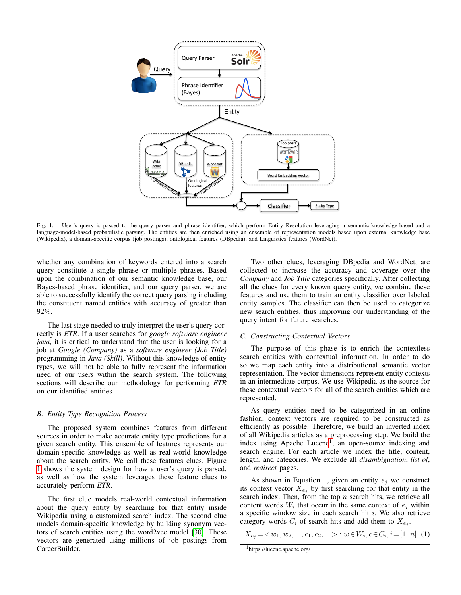

<span id="page-2-0"></span>Fig. 1. User's query is passed to the query parser and phrase identifier, which perform Entity Resolution leveraging a semantic-knowledge-based and a language-model-based probabilistic parsing. The entities are then enriched using an ensemble of representation models based upon external knowledge base (Wikipedia), a domain-specific corpus (job postings), ontological features (DBpedia), and Linguistics features (WordNet).

whether any combination of keywords entered into a search query constitute a single phrase or multiple phrases. Based upon the combination of our semantic knowledge base, our Bayes-based phrase identifier, and our query parser, we are able to successfully identify the correct query parsing including the constituent named entities with accuracy of greater than 92%.

The last stage needed to truly interpret the user's query correctly is *ETR*. If a user searches for *google software engineer java*, it is critical to understand that the user is looking for a job at *Google (Company)* as a *software engineer (Job Title)* programming in *Java (Skill)*. Without this knowledge of entity types, we will not be able to fully represent the information need of our users within the search system. The following sections will describe our methodology for performing *ETR* on our identified entities.

#### *B. Entity Type Recognition Process*

The proposed system combines features from different sources in order to make accurate entity type predictions for a given search entity. This ensemble of features represents our domain-specific knowledge as well as real-world knowledge about the search entity. We call these features clues. Figure [1](#page-2-0) shows the system design for how a user's query is parsed, as well as how the system leverages these feature clues to accurately perform *ETR*.

The first clue models real-world contextual information about the query entity by searching for that entity inside Wikipedia using a customized search index. The second clue models domain-specific knowledge by building synonym vectors of search entities using the word2vec model [\[30\]](#page-7-6). These vectors are generated using millions of job postings from CareerBuilder.

Two other clues, leveraging DBpedia and WordNet, are collected to increase the accuracy and coverage over the *Company* and *Job Title* categories specifically. After collecting all the clues for every known query entity, we combine these features and use them to train an entity classifier over labeled entity samples. The classifier can then be used to categorize new search entities, thus improving our understanding of the query intent for future searches.

#### *C. Constructing Contextual Vectors*

The purpose of this phase is to enrich the contextless search entities with contextual information. In order to do so we map each entity into a distributional semantic vector representation. The vector dimensions represent entity contexts in an intermediate corpus. We use Wikipedia as the source for these contextual vectors for all of the search entities which are represented.

As query entities need to be categorized in an online fashion, context vectors are required to be constructed as efficiently as possible. Therefore, we build an inverted index of all Wikipedia articles as a preprocessing step. We build the index using Apache Lucene<sup>[1](#page-2-1)</sup>, an open-source indexing and search engine. For each article we index the title, content, length, and categories. We exclude all *disambiguation*, *list of*, and *redirect* pages.

As shown in Equation 1, given an entity  $e_j$  we construct its context vector  $X_{e_j}$  by first searching for that entity in the search index. Then, from the top  $n$  search hits, we retrieve all content words  $W_i$  that occur in the same context of  $e_j$  within a specific window size in each search hit  $i$ . We also retrieve category words  $C_i$  of search hits and add them to  $X_{e_j}$ .

 $X_{e_j} = \langle w_1, w_2, ..., c_1, c_2, ... \rangle : w \in W_i, c \in C_i, i = [1..n]$  (1)

<span id="page-2-1"></span><sup>1</sup>https://lucene.apache.org/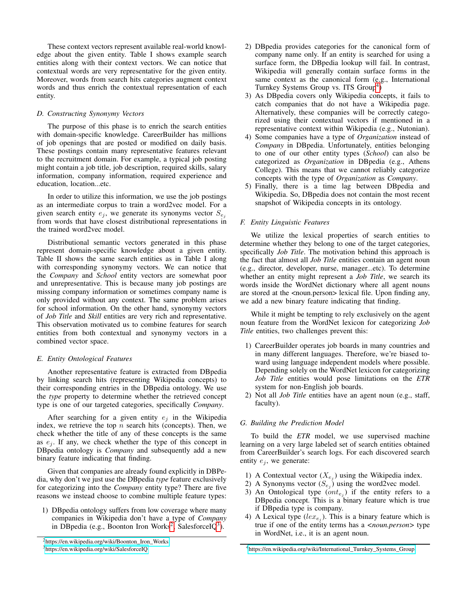These context vectors represent available real-world knowledge about the given entity. Table I shows example search entities along with their context vectors. We can notice that contextual words are very representative for the given entity. Moreover, words from search hits categories augment context words and thus enrich the contextual representation of each entity.

# *D. Constructing Synonymy Vectors*

The purpose of this phase is to enrich the search entities with domain-specific knowledge. CareerBuilder has millions of job openings that are posted or modified on daily basis. These postings contain many representative features relevant to the recruitment domain. For example, a typical job posting might contain a job title, job description, required skills, salary information, company information, required experience and education, location...etc.

In order to utilize this information, we use the job postings as an intermediate corpus to train a word2vec model. For a given search entity  $e_i$ , we generate its synonyms vector  $S_{e_i}$ from words that have closest distributional representations in the trained word2vec model.

Distributional semantic vectors generated in this phase represent domain-specific knowledge about a given entity. Table II shows the same search entities as in Table I along with corresponding synonymy vectors. We can notice that the *Company* and *School* entity vectors are somewhat poor and unrepresentative. This is because many job postings are missing company information or sometimes company name is only provided without any context. The same problem arises for school information. On the other hand, synonymy vectors of *Job Title* and *Skill* entities are very rich and representative. This observation motivated us to combine features for search entities from both contextual and synonymy vectors in a combined vector space.

# *E. Entity Ontological Features*

Another representative feature is extracted from DBpedia by linking search hits (representing Wikipedia concepts) to their corresponding entries in the DBpedia ontology. We use the *type* property to determine whether the retrieved concept type is one of our targeted categories, specifically *Company*.

After searching for a given entity  $e_j$  in the Wikipedia index, we retrieve the top  $n$  search hits (concepts). Then, we check whether the title of any of these concepts is the same as  $e_i$ . If any, we check whether the type of this concept in DBpedia ontology is *Company* and subsequently add a new binary feature indicating that finding.

Given that companies are already found explicitly in DBPedia, why don't we just use the DBpedia *type* feature exclusively for categorizing into the *Company* entity type? There are five reasons we instead choose to combine multiple feature types:

1) DBpedia ontology suffers from low coverage where many companies in Wikipedia don't have a type of *Company* in DBpedia (e.g., Boonton Iron Works<sup>[2](#page-3-0)</sup>, SalesforceIQ<sup>[3](#page-3-1)</sup>).

- 2) DBpedia provides categories for the canonical form of company name only. If an entity is searched for using a surface form, the DBpedia lookup will fail. In contrast, Wikipedia will generally contain surface forms in the same context as the canonical form (e.g., International Turnkey Systems Group vs. ITS Group<sup>[4](#page-3-2)</sup>)
- 3) As DBpedia covers only Wikipedia concepts, it fails to catch companies that do not have a Wikipedia page. Alternatively, these companies will be correctly categorized using their contextual vectors if mentioned in a representative context within Wikipedia (e.g., Nutonian).
- 4) Some companies have a type of *Organization* instead of *Company* in DBpedia. Unfortunately, entities belonging to one of our other entity types (*School*) can also be categorized as *Organization* in DBpedia (e.g., Athens College). This means that we cannot reliably categorize concepts with the type of *Organization* as *Company*.
- 5) Finally, there is a time lag between DBpedia and Wikipedia. So, DBpedia does not contain the most recent snapshot of Wikipedia concepts in its ontology.

# *F. Entity Linguistic Features*

We utilize the lexical properties of search entities to determine whether they belong to one of the target categories, specifically *Job Title*. The motivation behind this approach is the fact that almost all *Job Title* entities contain an agent noun (e.g., director, developer, nurse, manager...etc). To determine whether an entity might represent a *Job Title*, we search its words inside the WordNet dictionary where all agent nouns are stored at the <noun.person> lexical file. Upon finding any, we add a new binary feature indicating that finding.

While it might be tempting to rely exclusively on the agent noun feature from the WordNet lexicon for categorizing *Job Title* entities, two challenges prevent this:

- 1) CareerBuilder operates job boards in many countries and in many different languages. Therefore, we're biased toward using language independent models where possible. Depending solely on the WordNet lexicon for categorizing *Job Title* entities would pose limitations on the *ETR* system for non-English job boards.
- 2) Not all *Job Title* entities have an agent noun (e.g., staff, faculty).

# *G. Building the Prediction Model*

To build the *ETR* model, we use supervised machine learning on a very large labeled set of search entities obtained from CareerBuilder's search logs. For each discovered search entity  $e_i$ , we generate:

- 1) A Contextual vector  $(X_{e_j})$  using the Wikipedia index.
- 2) A Synonyms vector  $(S_{e_j})$  using the word2vec model.
- 3) An Ontological type  $(ont_{e_j})$  if the entity refers to a DBpedia concept. This is a binary feature which is true if DBpedia type is company.
- 4) A Lexical type  $(lex_{e_j})$ . This is a binary feature which is true if one of the entity terms has a *<noun.person>* type in WordNet, i.e., it is an agent noun.

<span id="page-3-0"></span><sup>2</sup>[https://en.wikipedia.org/wiki/Boonton\\_Iron\\_Works](https://en.wikipedia.org/wiki/Boonton_Iron_Works)

<span id="page-3-1"></span><sup>3</sup><https://en.wikipedia.org/wiki/SalesforceIQ>

<span id="page-3-2"></span><sup>4</sup>[https://en.wikipedia.org/wiki/International\\_Turnkey\\_Systems\\_Group](https://en.wikipedia.org/wiki/International_Turnkey_Systems_Group)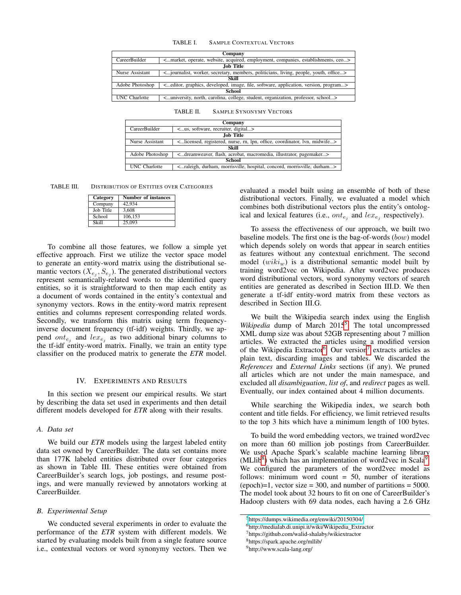#### TABLE I. SAMPLE CONTEXTUAL VECTORS

| Company                                                                                                                           |                                                                                                                       |  |  |  |  |  |  |  |  |
|-----------------------------------------------------------------------------------------------------------------------------------|-----------------------------------------------------------------------------------------------------------------------|--|--|--|--|--|--|--|--|
| <market, acquired,="" ceo="" companies,="" employment,="" establishments,="" operate,="" website,=""><br/>CareerBuilder</market,> |                                                                                                                       |  |  |  |  |  |  |  |  |
|                                                                                                                                   | <b>Job Title</b>                                                                                                      |  |  |  |  |  |  |  |  |
| Nurse Assistant                                                                                                                   | < journalist, worker, secretary, members, politicians, living, people, youth, office>                                 |  |  |  |  |  |  |  |  |
|                                                                                                                                   | Skill                                                                                                                 |  |  |  |  |  |  |  |  |
| Adobe Photoshop                                                                                                                   | <editor, application,="" developed,="" file,="" graphics,="" image,="" program="" software,="" version,=""></editor,> |  |  |  |  |  |  |  |  |
| <b>School</b>                                                                                                                     |                                                                                                                       |  |  |  |  |  |  |  |  |
| <b>UNC</b> Charlotte                                                                                                              | <university, carolina,="" college,="" north,="" organization,="" professor,="" school="" student,=""></university,>   |  |  |  |  |  |  |  |  |

TABLE II. SAMPLE SYNONYMY VECTORS

| Company                                                             |                                                                                                               |  |  |  |  |  |  |  |
|---------------------------------------------------------------------|---------------------------------------------------------------------------------------------------------------|--|--|--|--|--|--|--|
| <us, digital="" recruiter,="" software,=""><br/>CareerBuilder</us,> |                                                                                                               |  |  |  |  |  |  |  |
|                                                                     | <b>Job Title</b>                                                                                              |  |  |  |  |  |  |  |
| Nurse Assistant                                                     | <licensed, coordinator,="" lpn,="" lvn,="" midwife="" nurse,="" office,="" registered,="" rn,=""></licensed,> |  |  |  |  |  |  |  |
| Skill                                                               |                                                                                                               |  |  |  |  |  |  |  |
| Adobe Photoshop                                                     | <dreamweaver, acrobat,="" flash,="" illustrator,="" macromedia,="" pagemaker=""></dreamweaver,>               |  |  |  |  |  |  |  |
| <b>School</b>                                                       |                                                                                                               |  |  |  |  |  |  |  |
| <b>UNC</b> Charlotte                                                | <raleigh, concord,="" durham="" durham,="" hospital,="" morrisville,=""></raleigh,>                           |  |  |  |  |  |  |  |

TABLE III. DISTRIBUTION OF ENTITIES OVER CATEGORIES

| Category     | <b>Number of instances</b> |
|--------------|----------------------------|
| Company      | 42.934                     |
| Job Title    | 3.608                      |
| School       | 106,153                    |
| <b>Skill</b> | 25,093                     |

To combine all those features, we follow a simple yet effective approach. First we utilize the vector space model to generate an entity-word matrix using the distributional semantic vectors  $(X_{e_j}, S_{e_j})$ . The generated distributional vectors represent semantically-related words to the identified query entities, so it is straightforward to then map each entity as a document of words contained in the entity's contextual and synonymy vectors. Rows in the entity-word matrix represent entities and columns represent corresponding related words. Secondly, we transform this matrix using term frequencyinverse document frequency (tf-idf) weights. Thirdly, we append  $\text{ont}_{e_j}$  and  $\text{lex}_{e_j}$  as two additional binary columns to the tf-idf entity-word matrix. Finally, we train an entity type classifier on the produced matrix to generate the *ETR* model.

# IV. EXPERIMENTS AND RESULTS

In this section we present our empirical results. We start by describing the data set used in experiments and then detail different models developed for *ETR* along with their results.

## *A. Data set*

We build our *ETR* models using the largest labeled entity data set owned by CareerBuilder. The data set contains more than 177K labeled entities distributed over four categories as shown in Table III. These entities were obtained from CareerBuilder's search logs, job postings, and resume postings, and were manually reviewed by annotators working at CareerBuilder.

### *B. Experimental Setup*

We conducted several experiments in order to evaluate the performance of the *ETR* system with different models. We started by evaluating models built from a single feature source i.e., contextual vectors or word synonymy vectors. Then we

evaluated a model built using an ensemble of both of these distributional vectors. Finally, we evaluated a model which combines both distributional vectors plus the entity's ontological and lexical features (i.e.,  $ont_{e_j}$  and  $lex_{e_j}$  respectively).

To assess the effectiveness of our approach, we built two baseline models. The first one is the bag-of-words (bow) model which depends solely on words that appear in search entities as features without any contextual enrichment. The second model  $(wiki_w)$  is a distributional semantic model built by training word2vec on Wikipedia. After word2vec produces word distributional vectors, word synonymy vectors of search entities are generated as described in Section III.D. We then generate a tf-idf entity-word matrix from these vectors as described in Section III.G.

We built the Wikipedia search index using the English Wikipedia dump of March 201[5](#page-4-0)<sup>5</sup>. The total uncompressed XML dump size was about 52GB representing about 7 million articles. We extracted the articles using a modified version of the Wikipedia Extractor<sup>[6](#page-4-1)</sup>. Our version<sup>[7](#page-4-2)</sup> extracts articles as plain text, discarding images and tables. We discarded the *References* and *External Links* sections (if any). We pruned all articles which are not under the main namespace, and excluded all *disambiguation*, *list of*, and *redirect* pages as well. Eventually, our index contained about 4 million documents.

While searching the Wikipedia index, we search both content and title fields. For efficiency, we limit retrieved results to the top 3 hits which have a minimum length of 100 bytes.

To build the word embedding vectors, we trained word2vec on more than 60 million job postings from CareerBuilder. We used Apache Spark's scalable machine learning library (MLlib<sup>[8](#page-4-3)</sup>) which has an implementation of word2vec in Scala<sup>[9](#page-4-4)</sup>. We configured the parameters of the word2vec model as follows: minimum word count = 50, number of iterations  $(epoch)=1$ , vector size = 300, and number of partitions = 5000. The model took about 32 hours to fit on one of CareerBuilder's Hadoop clusters with 69 data nodes, each having a 2.6 GHz

<span id="page-4-0"></span><sup>5</sup><https://dumps.wikimedia.org/enwiki/20150304/>

<span id="page-4-1"></span><sup>6</sup>http://medialab.di.unipi.it/wiki/Wikipedia\_Extractor

<span id="page-4-2"></span><sup>7</sup>https://github.com/walid-shalaby/wikiextractor

<span id="page-4-3"></span><sup>8</sup>https://spark.apache.org/mllib/

<span id="page-4-4"></span><sup>9</sup>http://www.scala-lang.org/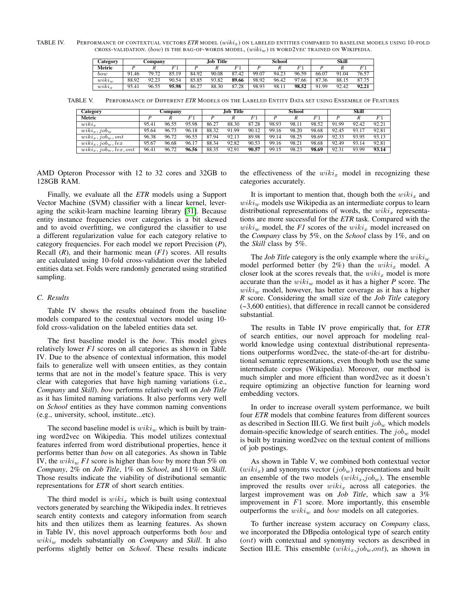TABLE IV. PERFORMANCE OF CONTEXTUAL VECTORS *ETR* MODEL ( $wikiz$ ) ON LABELED ENTITIES COMPARED TO BASELINE MODELS USING 10-FOLD CROSS-VALIDATION. (bow) IS THE BAG-OF-WORDS MODEL,  $(wiki_w)$  IS WORD2VEC TRAINED ON WIKIPEDIA.

| <b>Category</b> | Company |       |       | Job Title |       |       |       | School |                 | Skill |                        |       |
|-----------------|---------|-------|-------|-----------|-------|-------|-------|--------|-----------------|-------|------------------------|-------|
| Metric          |         |       |       |           |       |       |       |        |                 |       |                        |       |
| bow             | 91.46   | 79.72 | 85.19 | 84.92     | 90.08 | 87.42 | 99.07 | 94.23  | 96.59           | 66.07 | Q <sub>1</sub><br>1.04 | 76.57 |
| $wiki_w$        | 88.92   | 92.23 | 90.54 | 85.85     | 93.82 | 89.66 | 98.92 | 96.42  | $\Omega$<br>.66 | 87.36 | 88.15                  | 87.75 |
| $wiki_x$        | 95.41   | 96.55 | 95.98 | 86.27     | 88.30 | 87.28 | 98.93 | 98.1.  | 98.52           | 91.99 | 92.42                  | 92.21 |

TABLE V. PERFORMANCE OF DIFFERENT *ETR* MODELS ON THE LABELED ENTITY DATA SET USING ENSEMBLE OF FEATURES

| Category                        | Company |       |             | Job Title |       |             | School |       |       | Skill |       |                |
|---------------------------------|---------|-------|-------------|-----------|-------|-------------|--------|-------|-------|-------|-------|----------------|
| Metric                          |         |       | $F^{\cdot}$ |           |       | $F^{\cdot}$ |        |       |       |       |       | F <sub>1</sub> |
| $wiki_r$                        | 95.41   | 96.55 | 95.98       | 86.27     | 88.30 | 87.28       | 98.93  | 98.11 | 98.52 | 91.99 | 92.42 | 92.21          |
| $wiki_x, job_w$                 | 95.64   | 96.73 | 96.18       | 88.32     | 91.99 | 90.12       | 99.16  | 98.20 | 98.68 | 92.45 | 93.17 | 92.81          |
| $wiki_x, job_w, ont$            | 96.38   | 96.72 | 96.55       | 87.94     | 92.13 | 89.98       | 99.14  | 98.25 | 98.69 | 92.33 | 93.95 | 93.13          |
| $\overline{wiki_x}, job_w, lex$ | 95.67   | 96.68 | 96.17       | 88.34     | 92.82 | 90.53       | 99.16  | 98.21 | 98.68 | 92.49 | 93.14 | 92.81          |
| $wiki_x, job_w, lex, ont$       | 96.41   | 96.72 | 96.56       | 88.35     | 92.91 | 90.57       | 99.15  | 98.23 | 98.69 | 92.31 | 93.99 | 93.14          |

AMD Opteron Processor with 12 to 32 cores and 32GB to 128GB RAM.

Finally, we evaluate all the *ETR* models using a Support Vector Machine (SVM) classifier with a linear kernel, leveraging the scikit-learn machine learning library [\[31\]](#page-7-7). Because entity instance frequencies over categories is a bit skewed and to avoid overfitting, we configured the classifier to use a different regularization value for each category relative to category frequencies. For each model we report Precision (*P*), Recall (*R*), and their harmonic mean (*F1*) scores. All results are calculated using 10-fold cross-validation over the labeled entities data set. Folds were randomly generated using stratified sampling.

# *C. Results*

Table IV shows the results obtained from the baseline models compared to the contextual vectors model using 10 fold cross-validation on the labeled entities data set.

The first baseline model is the *bow*. This model gives relatively lower *F1* scores on all categories as shown in Table IV. Due to the absence of contextual information, this model fails to generalize well with unseen entities, as they contain terms that are not in the model's feature space. This is very clear with categories that have high naming variations (i.e., *Company* and *Skill*). *bow* performs relatively well on *Job Title* as it has limited naming variations. It also performs very well on *School* entities as they have common naming conventions (e.g., university, school, institute...etc).

The second baseline model is  $wiki_w$  which is built by training word2vec on Wikipedia. This model utilizes contextual features inferred from word distributional properties, hence it performs better than *bow* on all categories. As shown in Table IV, the  $wiki_w Fl$  score is higher than *bow* by more than 5% on *Company*, 2% on *Job Title*, 1% on *School*, and 11% on *Skill*. Those results indicate the viability of distributional semantic representations for *ETR* of short search entities.

The third model is  $wiki_x$  which is built using contextual vectors generated by searching the Wikipedia index. It retrieves search entity contexts and category information from search hits and then utilizes them as learning features. As shown in Table IV, this novel approach outperforms both bow and wiki<sup>w</sup> models substantially on *Company* and *Skill*. It also performs slightly better on *School*. These results indicate

the effectiveness of the  $wiki_x$  model in recognizing these categories accurately.

It is important to mention that, though both the  $wiki_x$  and  $wiki_w$  models use Wikipedia as an intermediate corpus to learn distributional representations of words, the  $wiki_x$  representations are more successful for the *ETR* task. Compared with the  $wiki_w$  model, the *F1* scores of the  $wiki_x$  model increased on the *Company* class by 5%, on the *School* class by 1%, and on the *Skill* class by 5%.

The *Job Title* category is the only example where the  $wiki_w$ model performed better (by  $2\%$ ) than the  $wiki_x$  model. A closer look at the scores reveals that, the  $wiki_x$  model is more accurate than the  $wiki_w$  model as it has a higher  $P$  score. The  $wiki_w$  model, however, has better coverage as it has a higher *R* score. Considering the small size of the *Job Title* category (~3,600 entities), that difference in recall cannot be considered substantial.

The results in Table IV prove empirically that, for *ETR* of search entities, our novel approach for modeling realworld knowledge using contextual distributional representations outperforms word2vec, the state-of-the-art for distributional semantic representations, even though both use the same intermediate corpus (Wikipedia). Moreover, our method is much simpler and more efficient than word2vec as it doesn't require optimizing an objective function for learning word embedding vectors.

In order to increase overall system performance, we built four *ETR* models that combine features from different sources as described in Section III.G. We first built  $job_w$  which models domain-specific knowledge of search entities. The  $job_w$  model is built by training word2vec on the textual content of millions of job postings.

As shown in Table V, we combined both contextual vector  $(wiki_x)$  and synonyms vector  $(job_w)$  representations and built an ensemble of the two models  $(wiki_x, job_w)$ . The ensemble improved the results over  $wiki_x$  across all categories. the largest improvement was on *Job Title*, which saw a 3% improvement in  $F1$  score. More importantly, this ensemble outperforms the  $wiki_w$  and bow models on all categories.

To further increase system accuracy on *Company* class, we incorporated the DBpedia ontological type of search entity (ont) with contextual and synonymy vectors as described in Section III.E. This ensemble  $(wiki_x, job_w, ont)$ , as shown in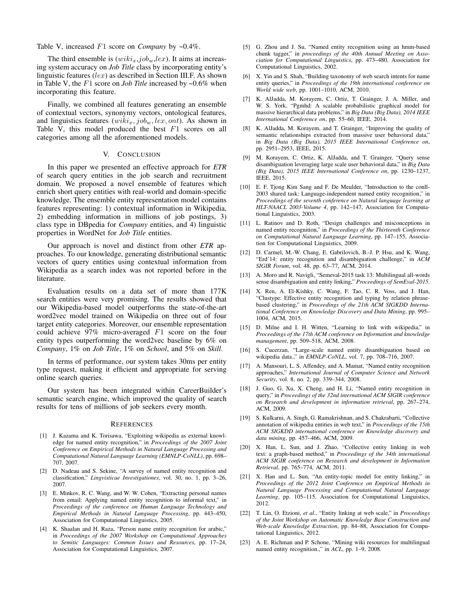Table V, increased F1 score on *Company* by ~0.4%.

The third ensemble is  $(wiki_x, job_w, lex)$ . It aims at increasing system accuracy on *Job Title* class by incorporating entity's linguistic features  $(lex)$  as described in Section III.F. As shown in Table V, the F1 score on *Job Title* increased by ~0.6% when incorporating this feature.

Finally, we combined all features generating an ensemble of contextual vectors, synonymy vectors, ontological features, and linguistics features  $(wiki_x, job_w, lex, ont)$ . As shown in Table V, this model produced the best  $F1$  scores on all categories among all the aforementioned models.

# V. CONCLUSION

In this paper we presented an effective approach for *ETR* of search query entities in the job search and recruitment domain. We proposed a novel ensemble of features which enrich short query entities with real-world and domain-specific knowledge. The ensemble entity representation model contains features representing: 1) contextual information in Wikipedia, 2) embedding information in millions of job postings, 3) class type in DBpedia for *Company* entities, and 4) linguistic properties in WordNet for *Job Title* entities.

Our approach is novel and distinct from other *ETR* approaches. To our knowledge, generating distributional semantic vectors of query entities using contextual information from Wikipedia as a search index was not reported before in the literature.

Evaluation results on a data set of more than 177K search entities were very promising. The results showed that our Wikipedia-based model outperforms the state-of-the-art word2vec model trained on Wikipedia on three out of four target entity categories. Moreover, our ensemble representation could achieve 97% micro-averaged F1 score on the four entity types outperforming the word2vec baseline by 6% on *Company*, 1% on *Job Title*, 1% on *School*, and 5% on *Skill*.

In terms of performance, our system takes 30ms per entity type request, making it efficient and appropriate for serving online search queries.

Our system has been integrated within CareerBuilder's semantic search engine, which improved the quality of search results for tens of millions of job seekers every month.

#### **REFERENCES**

- <span id="page-6-0"></span>[1] J. Kazama and K. Torisawa, "Exploiting wikipedia as external knowledge for named entity recognition," in *Proceedings of the 2007 Joint Conference on Empirical Methods in Natural Language Processing and Computational Natural Language Learning (EMNLP-CoNLL)*, pp. 698– 707, 2007.
- <span id="page-6-1"></span>[2] D. Nadeau and S. Sekine, "A survey of named entity recognition and classification," *Lingvisticae Investigationes*, vol. 30, no. 1, pp. 3–26, 2007.
- [3] E. Minkov, R. C. Wang, and W. W. Cohen, "Extracting personal names from email: Applying named entity recognition to informal text," in *Proceedings of the conference on Human Language Technology and Empirical Methods in Natural Language Processing*, pp. 443–450, Association for Computational Linguistics, 2005.
- [4] K. Shaalan and H. Raza, "Person name entity recognition for arabic," in *Proceedings of the 2007 Workshop on Computational Approaches to Semitic Languages: Common Issues and Resources*, pp. 17–24, Association for Computational Linguistics, 2007.
- <span id="page-6-2"></span>[5] G. Zhou and J. Su, "Named entity recognition using an hmm-based chunk tagger," in *proceedings of the 40th Annual Meeting on Association for Computational Linguistics*, pp. 473–480, Association for Computational Linguistics, 2002.
- <span id="page-6-3"></span>[6] X. Yin and S. Shah, "Building taxonomy of web search intents for name entity queries," in *Proceedings of the 19th international conference on World wide web*, pp. 1001–1010, ACM, 2010.
- <span id="page-6-4"></span>[7] K. AlJadda, M. Korayem, C. Ortiz, T. Grainger, J. A. Miller, and W. S. York, "Pgmhd: A scalable probabilistic graphical model for massive hierarchical data problems," in *Big Data (Big Data), 2014 IEEE International Conference on*, pp. 55–60, IEEE, 2014.
- [8] K. AlJadda, M. Korayem, and T. Grainger, "Improving the quality of semantic relationships extracted from massive user behavioral data," in *Big Data (Big Data), 2015 IEEE International Conference on*, pp. 2951–2953, IEEE, 2015.
- <span id="page-6-5"></span>[9] M. Korayem, C. Ortiz, K. AlJadda, and T. Grainger, "Query sense disambiguation leveraging large scale user behavioral data," in *Big Data (Big Data), 2015 IEEE International Conference on*, pp. 1230–1237, IEEE, 2015.
- <span id="page-6-6"></span>[10] E. F. Tjong Kim Sang and F. De Meulder, "Introduction to the conll-2003 shared task: Language-independent named entity recognition," in *Proceedings of the seventh conference on Natural language learning at HLT-NAACL 2003-Volume 4*, pp. 142–147, Association for Computational Linguistics, 2003.
- [11] L. Ratinov and D. Roth, "Design challenges and misconceptions in named entity recognition," in *Proceedings of the Thirteenth Conference on Computational Natural Language Learning*, pp. 147–155, Association for Computational Linguistics, 2009.
- [12] D. Carmel, M.-W. Chang, E. Gabrilovich, B.-J. P. Hsu, and K. Wang, "Erd'14: entity recognition and disambiguation challenge," in *ACM SIGIR Forum*, vol. 48, pp. 63–77, ACM, 2014.
- [13] A. Moro and R. Navigli, "Semeval-2015 task 13: Multilingual all-words sense disambiguation and entity linking," *Proceedings of SemEval-2015*.
- [14] X. Ren, A. El-Kishky, C. Wang, F. Tao, C. R. Voss, and J. Han, "Clustype: Effective entity recognition and typing by relation phrasebased clustering," in *Proceedings of the 21th ACM SIGKDD International Conference on Knowledge Discovery and Data Mining*, pp. 995– 1004, ACM, 2015.
- [15] D. Milne and I. H. Witten, "Learning to link with wikipedia," in *Proceedings of the 17th ACM conference on Information and knowledge management*, pp. 509–518, ACM, 2008.
- <span id="page-6-7"></span>[16] S. Cucerzan, "Large-scale named entity disambiguation based on wikipedia data.," in *EMNLP-CoNLL*, vol. 7, pp. 708–716, 2007.
- <span id="page-6-8"></span>[17] A. Mansouri, L. S. Affendey, and A. Mamat, "Named entity recognition approaches," *International Journal of Computer Science and Network Security*, vol. 8, no. 2, pp. 339–344, 2008.
- <span id="page-6-9"></span>[18] J. Guo, G. Xu, X. Cheng, and H. Li, "Named entity recognition in query," in *Proceedings of the 32nd international ACM SIGIR conference on Research and development in information retrieval*, pp. 267–274, ACM, 2009.
- <span id="page-6-10"></span>[19] S. Kulkarni, A. Singh, G. Ramakrishnan, and S. Chakrabarti, "Collective annotation of wikipedia entities in web text," in *Proceedings of the 15th ACM SIGKDD international conference on Knowledge discovery and data mining*, pp. 457–466, ACM, 2009.
- [20] X. Han, L. Sun, and J. Zhao, "Collective entity linking in web text: a graph-based method," in *Proceedings of the 34th international ACM SIGIR conference on Research and development in Information Retrieval*, pp. 765–774, ACM, 2011.
- [21] X. Han and L. Sun, "An entity-topic model for entity linking," in *Proceedings of the 2012 Joint Conference on Empirical Methods in Natural Language Processing and Computational Natural Language Learning*, pp. 105–115, Association for Computational Linguistics, 2012.
- <span id="page-6-11"></span>[22] T. Lin, O. Etzioni, *et al.*, "Entity linking at web scale," in *Proceedings of the Joint Workshop on Automatic Knowledge Base Construction and Web-scale Knowledge Extraction*, pp. 84–88, Association for Computational Linguistics, 2012.
- <span id="page-6-12"></span>[23] A. E. Richman and P. Schone, "Mining wiki resources for multilingual named entity recognition.," in *ACL*, pp. 1–9, 2008.